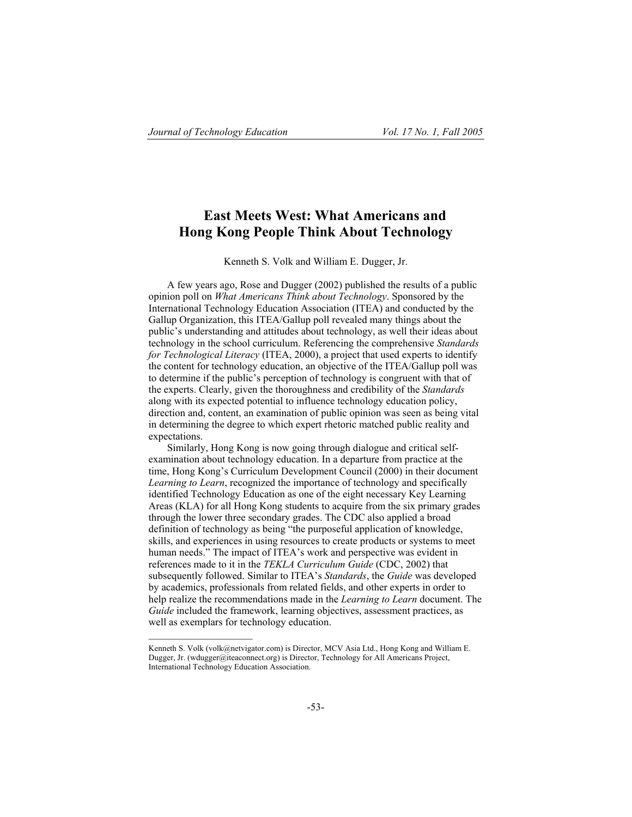# **East Meets West: What Americans and Hong Kong People Think About Technology**

Kenneth S. Volk and William E. Dugger, Jr.

A few years ago, Rose and Dugger (2002) published the results of a public opinion poll on *What Americans Think about Technology*. Sponsored by the International Technology Education Association (ITEA) and conducted by the Gallup Organization, this ITEA/Gallup poll revealed many things about the public's understanding and attitudes about technology, as well their ideas about technology in the school curriculum. Referencing the comprehensive *Standards for Technological Literacy* (ITEA, 2000), a project that used experts to identify the content for technology education, an objective of the ITEA/Gallup poll was to determine if the public's perception of technology is congruent with that of the experts. Clearly, given the thoroughness and credibility of the *Standards* along with its expected potential to influence technology education policy, direction and, content, an examination of public opinion was seen as being vital in determining the degree to which expert rhetoric matched public reality and expectations.

Similarly, Hong Kong is now going through dialogue and critical selfexamination about technology education. In a departure from practice at the time, Hong Kong's Curriculum Development Council (2000) in their document *Learning to Learn*, recognized the importance of technology and specifically identified Technology Education as one of the eight necessary Key Learning Areas (KLA) for all Hong Kong students to acquire from the six primary grades through the lower three secondary grades. The CDC also applied a broad definition of technology as being "the purposeful application of knowledge, skills, and experiences in using resources to create products or systems to meet human needs." The impact of ITEA's work and perspective was evident in references made to it in the *TEKLA Curriculum Guide* (CDC, 2002) that subsequently followed. Similar to ITEA's *Standards*, the *Guide* was developed by academics, professionals from related fields, and other experts in order to help realize the recommendations made in the *Learning to Learn* document. The *Guide* included the framework, learning objectives, assessment practices, as well as exemplars for technology education.

Kenneth S. Volk (volk@netvigator.com) is Director, MCV Asia Ltd., Hong Kong and William E. Dugger, Jr. (wdugger@iteaconnect.org) is Director, Technology for All Americans Project, International Technology Education Association.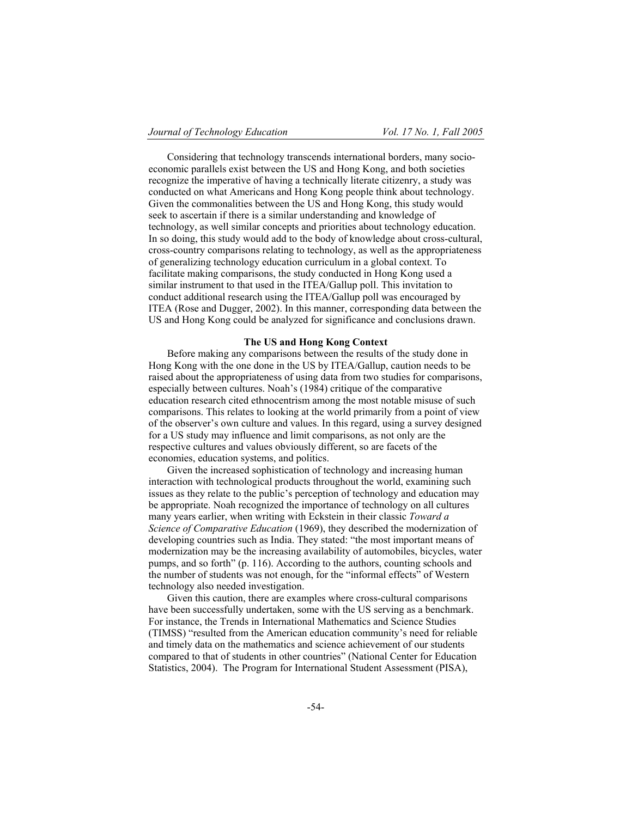Considering that technology transcends international borders, many socioeconomic parallels exist between the US and Hong Kong, and both societies recognize the imperative of having a technically literate citizenry, a study was conducted on what Americans and Hong Kong people think about technology. Given the commonalities between the US and Hong Kong, this study would seek to ascertain if there is a similar understanding and knowledge of technology, as well similar concepts and priorities about technology education. In so doing, this study would add to the body of knowledge about cross-cultural, cross-country comparisons relating to technology, as well as the appropriateness of generalizing technology education curriculum in a global context. To facilitate making comparisons, the study conducted in Hong Kong used a similar instrument to that used in the ITEA/Gallup poll. This invitation to conduct additional research using the ITEA/Gallup poll was encouraged by ITEA (Rose and Dugger, 2002). In this manner, corresponding data between the US and Hong Kong could be analyzed for significance and conclusions drawn.

## **The US and Hong Kong Context**

Before making any comparisons between the results of the study done in Hong Kong with the one done in the US by ITEA/Gallup, caution needs to be raised about the appropriateness of using data from two studies for comparisons, especially between cultures. Noah's (1984) critique of the comparative education research cited ethnocentrism among the most notable misuse of such comparisons. This relates to looking at the world primarily from a point of view of the observer's own culture and values. In this regard, using a survey designed for a US study may influence and limit comparisons, as not only are the respective cultures and values obviously different, so are facets of the economies, education systems, and politics.

Given the increased sophistication of technology and increasing human interaction with technological products throughout the world, examining such issues as they relate to the public's perception of technology and education may be appropriate. Noah recognized the importance of technology on all cultures many years earlier, when writing with Eckstein in their classic *Toward a Science of Comparative Education* (1969), they described the modernization of developing countries such as India. They stated: "the most important means of modernization may be the increasing availability of automobiles, bicycles, water pumps, and so forth" (p. 116). According to the authors, counting schools and the number of students was not enough, for the "informal effects" of Western technology also needed investigation.

Given this caution, there are examples where cross-cultural comparisons have been successfully undertaken, some with the US serving as a benchmark. For instance, the Trends in International Mathematics and Science Studies (TIMSS) "resulted from the American education community's need for reliable and timely data on the mathematics and science achievement of our students compared to that of students in other countries" (National Center for Education Statistics, 2004). The Program for International Student Assessment (PISA),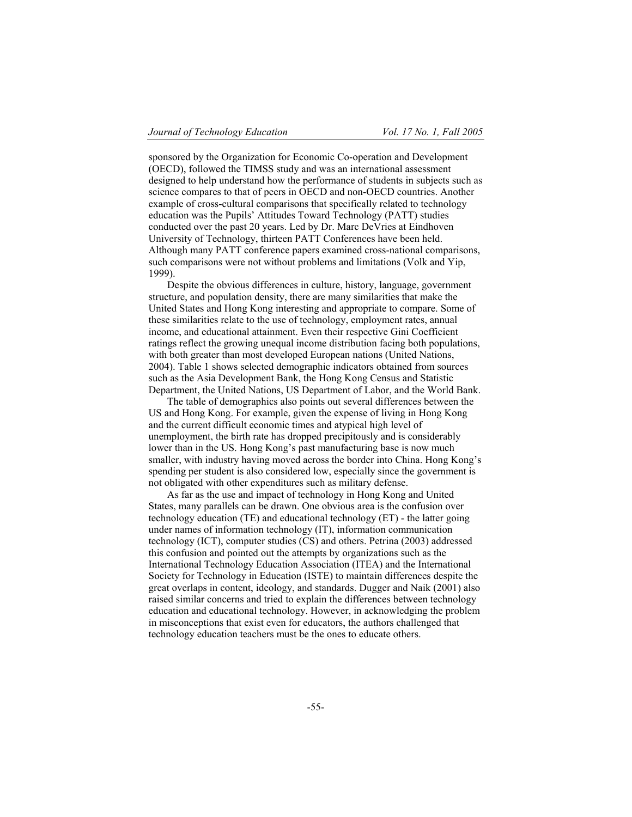sponsored by the Organization for Economic Co-operation and Development (OECD), followed the TIMSS study and was an international assessment designed to help understand how the performance of students in subjects such as science compares to that of peers in OECD and non-OECD countries. Another example of cross-cultural comparisons that specifically related to technology education was the Pupils' Attitudes Toward Technology (PATT) studies conducted over the past 20 years. Led by Dr. Marc DeVries at Eindhoven University of Technology, thirteen PATT Conferences have been held. Although many PATT conference papers examined cross-national comparisons, such comparisons were not without problems and limitations (Volk and Yip, 1999).

Despite the obvious differences in culture, history, language, government structure, and population density, there are many similarities that make the United States and Hong Kong interesting and appropriate to compare. Some of these similarities relate to the use of technology, employment rates, annual income, and educational attainment. Even their respective Gini Coefficient ratings reflect the growing unequal income distribution facing both populations, with both greater than most developed European nations (United Nations, 2004). Table 1 shows selected demographic indicators obtained from sources such as the Asia Development Bank, the Hong Kong Census and Statistic Department, the United Nations, US Department of Labor, and the World Bank.

The table of demographics also points out several differences between the US and Hong Kong. For example, given the expense of living in Hong Kong and the current difficult economic times and atypical high level of unemployment, the birth rate has dropped precipitously and is considerably lower than in the US. Hong Kong's past manufacturing base is now much smaller, with industry having moved across the border into China. Hong Kong's spending per student is also considered low, especially since the government is not obligated with other expenditures such as military defense.

As far as the use and impact of technology in Hong Kong and United States, many parallels can be drawn. One obvious area is the confusion over technology education (TE) and educational technology (ET) - the latter going under names of information technology (IT), information communication technology (ICT), computer studies (CS) and others. Petrina (2003) addressed this confusion and pointed out the attempts by organizations such as the International Technology Education Association (ITEA) and the International Society for Technology in Education (ISTE) to maintain differences despite the great overlaps in content, ideology, and standards. Dugger and Naik (2001) also raised similar concerns and tried to explain the differences between technology education and educational technology. However, in acknowledging the problem in misconceptions that exist even for educators, the authors challenged that technology education teachers must be the ones to educate others.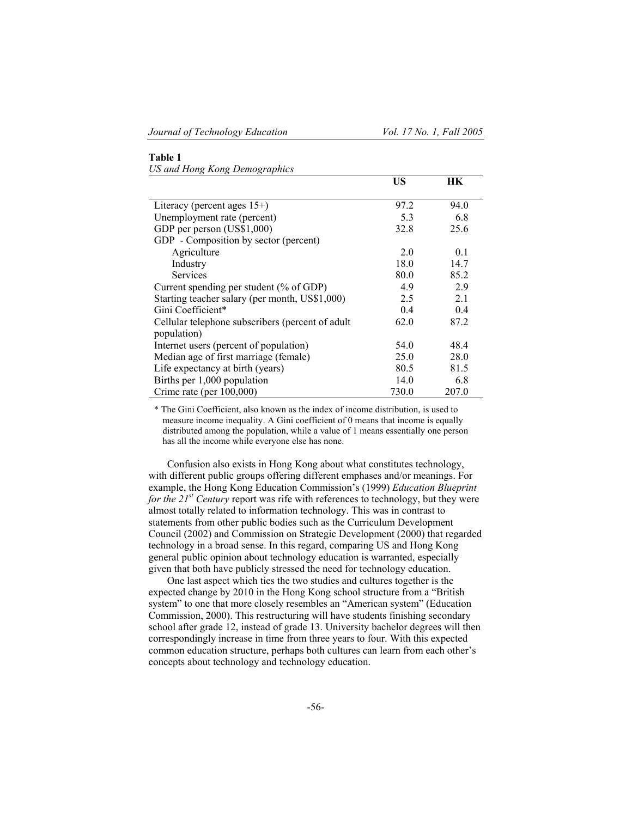## **Table 1**

*US and Hong Kong Demographics* 

|                                                  | US    | HК    |
|--------------------------------------------------|-------|-------|
|                                                  |       |       |
| Literacy (percent ages $15+$ )                   | 97.2  | 94.0  |
| Unemployment rate (percent)                      | 5.3   | 6.8   |
| GDP per person (US\$1,000)                       | 32.8  | 25.6  |
| GDP - Composition by sector (percent)            |       |       |
| Agriculture                                      | 2.0   | 0.1   |
| Industry                                         | 18.0  | 14.7  |
| <b>Services</b>                                  | 80.0  | 85.2  |
| Current spending per student (% of GDP)          | 4.9   | 2.9   |
| Starting teacher salary (per month, US\$1,000)   | 2.5   | 2.1   |
| Gini Coefficient*                                | 0.4   | 0.4   |
| Cellular telephone subscribers (percent of adult | 62.0  | 87.2  |
| population)                                      |       |       |
| Internet users (percent of population)           | 54.0  | 48.4  |
| Median age of first marriage (female)            | 25.0  | 28.0  |
| Life expectancy at birth (years)                 | 80.5  | 81.5  |
| Births per 1,000 population                      | 14.0  | 6.8   |
| Crime rate (per $100,000$ )                      | 730.0 | 207.0 |

\* The Gini Coefficient, also known as the index of income distribution, is used to measure income inequality. A Gini coefficient of 0 means that income is equally distributed among the population, while a value of 1 means essentially one person has all the income while everyone else has none.

Confusion also exists in Hong Kong about what constitutes technology, with different public groups offering different emphases and/or meanings. For example, the Hong Kong Education Commission's (1999) *Education Blueprint for the 21st Century* report was rife with references to technology, but they were almost totally related to information technology. This was in contrast to statements from other public bodies such as the Curriculum Development Council (2002) and Commission on Strategic Development (2000) that regarded technology in a broad sense. In this regard, comparing US and Hong Kong general public opinion about technology education is warranted, especially given that both have publicly stressed the need for technology education.

One last aspect which ties the two studies and cultures together is the expected change by 2010 in the Hong Kong school structure from a "British system" to one that more closely resembles an "American system" (Education Commission, 2000). This restructuring will have students finishing secondary school after grade 12, instead of grade 13. University bachelor degrees will then correspondingly increase in time from three years to four. With this expected common education structure, perhaps both cultures can learn from each other's concepts about technology and technology education.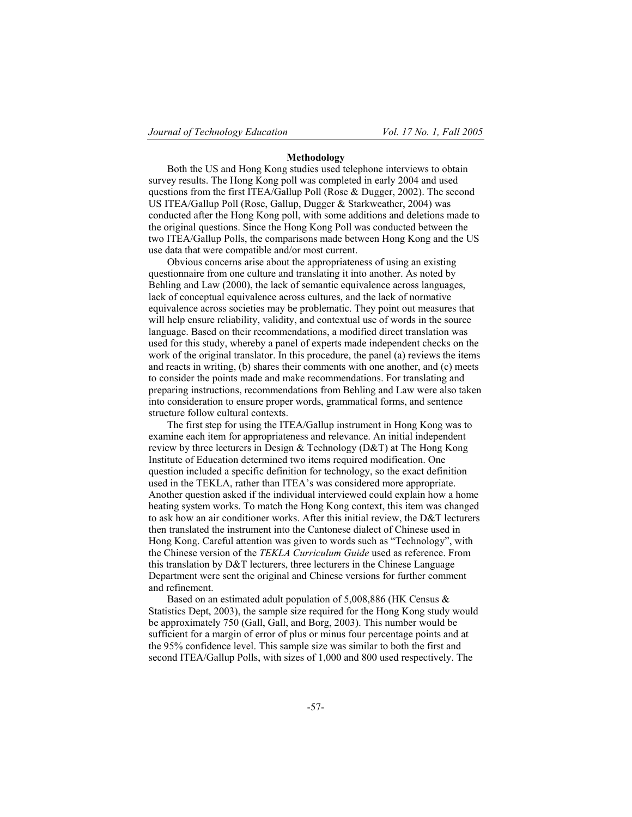## **Methodology**

Both the US and Hong Kong studies used telephone interviews to obtain survey results. The Hong Kong poll was completed in early 2004 and used questions from the first ITEA/Gallup Poll (Rose & Dugger, 2002). The second US ITEA/Gallup Poll (Rose, Gallup, Dugger & Starkweather, 2004) was conducted after the Hong Kong poll, with some additions and deletions made to the original questions. Since the Hong Kong Poll was conducted between the two ITEA/Gallup Polls, the comparisons made between Hong Kong and the US use data that were compatible and/or most current.

Obvious concerns arise about the appropriateness of using an existing questionnaire from one culture and translating it into another. As noted by Behling and Law (2000), the lack of semantic equivalence across languages, lack of conceptual equivalence across cultures, and the lack of normative equivalence across societies may be problematic. They point out measures that will help ensure reliability, validity, and contextual use of words in the source language. Based on their recommendations, a modified direct translation was used for this study, whereby a panel of experts made independent checks on the work of the original translator. In this procedure, the panel (a) reviews the items and reacts in writing, (b) shares their comments with one another, and (c) meets to consider the points made and make recommendations. For translating and preparing instructions, recommendations from Behling and Law were also taken into consideration to ensure proper words, grammatical forms, and sentence structure follow cultural contexts.

The first step for using the ITEA/Gallup instrument in Hong Kong was to examine each item for appropriateness and relevance. An initial independent review by three lecturers in Design & Technology (D&T) at The Hong Kong Institute of Education determined two items required modification. One question included a specific definition for technology, so the exact definition used in the TEKLA, rather than ITEA's was considered more appropriate. Another question asked if the individual interviewed could explain how a home heating system works. To match the Hong Kong context, this item was changed to ask how an air conditioner works. After this initial review, the D&T lecturers then translated the instrument into the Cantonese dialect of Chinese used in Hong Kong. Careful attention was given to words such as "Technology", with the Chinese version of the *TEKLA Curriculum Guide* used as reference. From this translation by D&T lecturers, three lecturers in the Chinese Language Department were sent the original and Chinese versions for further comment and refinement.

Based on an estimated adult population of 5,008,886 (HK Census & Statistics Dept, 2003), the sample size required for the Hong Kong study would be approximately 750 (Gall, Gall, and Borg, 2003). This number would be sufficient for a margin of error of plus or minus four percentage points and at the 95% confidence level. This sample size was similar to both the first and second ITEA/Gallup Polls, with sizes of 1,000 and 800 used respectively. The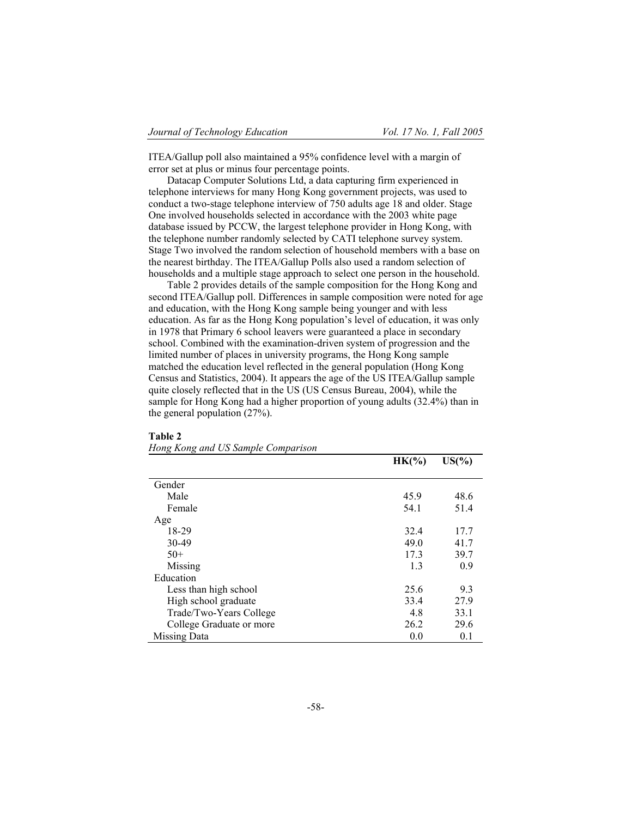ITEA/Gallup poll also maintained a 95% confidence level with a margin of error set at plus or minus four percentage points.

Datacap Computer Solutions Ltd, a data capturing firm experienced in telephone interviews for many Hong Kong government projects, was used to conduct a two-stage telephone interview of 750 adults age 18 and older. Stage One involved households selected in accordance with the 2003 white page database issued by PCCW, the largest telephone provider in Hong Kong, with the telephone number randomly selected by CATI telephone survey system. Stage Two involved the random selection of household members with a base on the nearest birthday. The ITEA/Gallup Polls also used a random selection of households and a multiple stage approach to select one person in the household.

Table 2 provides details of the sample composition for the Hong Kong and second ITEA/Gallup poll. Differences in sample composition were noted for age and education, with the Hong Kong sample being younger and with less education. As far as the Hong Kong population's level of education, it was only in 1978 that Primary 6 school leavers were guaranteed a place in secondary school. Combined with the examination-driven system of progression and the limited number of places in university programs, the Hong Kong sample matched the education level reflected in the general population (Hong Kong Census and Statistics, 2004). It appears the age of the US ITEA/Gallup sample quite closely reflected that in the US (US Census Bureau, 2004), while the sample for Hong Kong had a higher proportion of young adults (32.4%) than in the general population (27%).

#### **Table 2**

| Hong Kong and US Sample Comparison |  |  |  |  |
|------------------------------------|--|--|--|--|
|------------------------------------|--|--|--|--|

|                          | $HK(\% )$ | $US(\% )$ |
|--------------------------|-----------|-----------|
| Gender                   |           |           |
| Male                     | 45.9      | 48.6      |
| Female                   | 54.1      | 51.4      |
| Age                      |           |           |
| 18-29                    | 32.4      | 17.7      |
| 30-49                    | 49.0      | 41.7      |
| $50+$                    | 17.3      | 39.7      |
| Missing                  | 1.3       | 0.9       |
| Education                |           |           |
| Less than high school    | 25.6      | 9.3       |
| High school graduate     | 33.4      | 27.9      |
| Trade/Two-Years College  | 4.8       | 33.1      |
| College Graduate or more | 26.2      | 29.6      |
| Missing Data             | 0.0       | 0.1       |
|                          |           |           |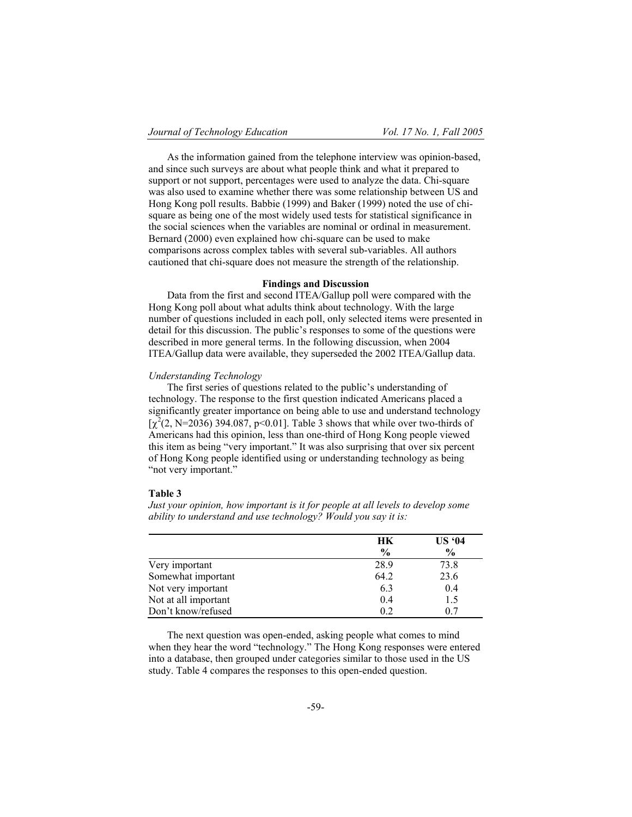As the information gained from the telephone interview was opinion-based, and since such surveys are about what people think and what it prepared to support or not support, percentages were used to analyze the data. Chi-square was also used to examine whether there was some relationship between US and Hong Kong poll results. Babbie (1999) and Baker (1999) noted the use of chisquare as being one of the most widely used tests for statistical significance in the social sciences when the variables are nominal or ordinal in measurement. Bernard (2000) even explained how chi-square can be used to make comparisons across complex tables with several sub-variables. All authors cautioned that chi-square does not measure the strength of the relationship.

### **Findings and Discussion**

Data from the first and second ITEA/Gallup poll were compared with the Hong Kong poll about what adults think about technology. With the large number of questions included in each poll, only selected items were presented in detail for this discussion. The public's responses to some of the questions were described in more general terms. In the following discussion, when 2004 ITEA/Gallup data were available, they superseded the 2002 ITEA/Gallup data.

## *Understanding Technology*

The first series of questions related to the public's understanding of technology. The response to the first question indicated Americans placed a significantly greater importance on being able to use and understand technology  $[\chi^2(2, N=2036) 394.087, p<0.01]$ . Table 3 shows that while over two-thirds of Americans had this opinion, less than one-third of Hong Kong people viewed this item as being "very important." It was also surprising that over six percent of Hong Kong people identified using or understanding technology as being "not very important."

#### **Table 3**

*Just your opinion, how important is it for people at all levels to develop some ability to understand and use technology? Would you say it is:* 

|                      | HК            | US 94         |
|----------------------|---------------|---------------|
|                      | $\frac{0}{0}$ | $\frac{0}{0}$ |
| Very important       | 28.9          | 73.8          |
| Somewhat important   | 64.2          | 23.6          |
| Not very important   | 6.3           | 0.4           |
| Not at all important | 0.4           | 1.5           |
| Don't know/refused   | 02            | 0.7           |

The next question was open-ended, asking people what comes to mind when they hear the word "technology." The Hong Kong responses were entered into a database, then grouped under categories similar to those used in the US study. Table 4 compares the responses to this open-ended question.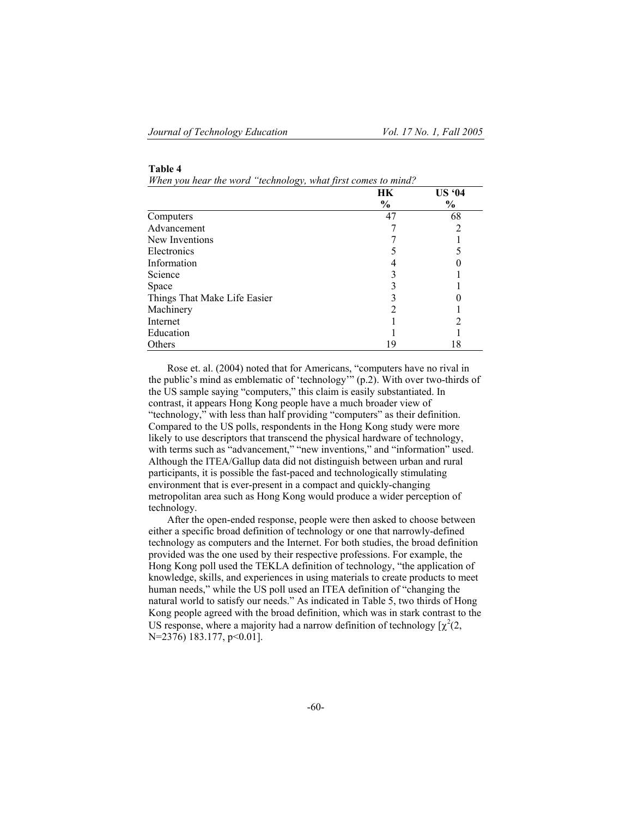| anıe |  |
|------|--|
|------|--|

*When you hear the word "technology, what first comes to mind?* 

|                              | HК   | <b>US '04</b> |
|------------------------------|------|---------------|
|                              | $\%$ | $\frac{6}{9}$ |
| Computers                    | 47   | 68            |
| Advancement                  |      |               |
| New Inventions               |      |               |
| Electronics                  |      |               |
| Information                  |      |               |
| Science                      |      |               |
| Space                        |      |               |
| Things That Make Life Easier |      |               |
| Machinery                    |      |               |
| Internet                     |      |               |
| Education                    |      |               |
| Others                       | 19   | 18            |

Rose et. al. (2004) noted that for Americans, "computers have no rival in the public's mind as emblematic of 'technology'" (p.2). With over two-thirds of the US sample saying "computers," this claim is easily substantiated. In contrast, it appears Hong Kong people have a much broader view of "technology," with less than half providing "computers" as their definition. Compared to the US polls, respondents in the Hong Kong study were more likely to use descriptors that transcend the physical hardware of technology, with terms such as "advancement," "new inventions," and "information" used. Although the ITEA/Gallup data did not distinguish between urban and rural participants, it is possible the fast-paced and technologically stimulating environment that is ever-present in a compact and quickly-changing metropolitan area such as Hong Kong would produce a wider perception of technology.

After the open-ended response, people were then asked to choose between either a specific broad definition of technology or one that narrowly-defined technology as computers and the Internet. For both studies, the broad definition provided was the one used by their respective professions. For example, the Hong Kong poll used the TEKLA definition of technology, "the application of knowledge, skills, and experiences in using materials to create products to meet human needs," while the US poll used an ITEA definition of "changing the natural world to satisfy our needs." As indicated in Table 5, two thirds of Hong Kong people agreed with the broad definition, which was in stark contrast to the US response, where a majority had a narrow definition of technology  $[\chi^2(2, \chi)]$ N=2376) 183.177, p<0.01].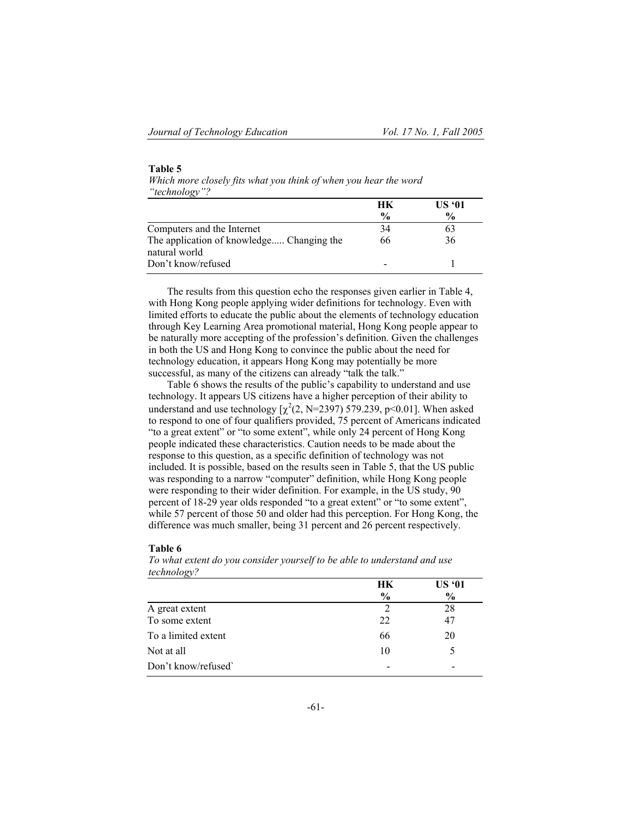**Table 5**

| Which more closely fits what you think of when you hear the word |    |               |
|------------------------------------------------------------------|----|---------------|
| "technology"?                                                    |    |               |
|                                                                  | HК | <b>US '01</b> |
|                                                                  |    |               |

|                                           | пв            | US VI         |
|-------------------------------------------|---------------|---------------|
|                                           | $\frac{0}{0}$ | $\frac{6}{9}$ |
| Computers and the Internet                | 34            |               |
| The application of knowledge Changing the | 66            | 36            |
| natural world                             |               |               |
| Don't know/refused                        |               |               |
|                                           |               |               |

The results from this question echo the responses given earlier in Table 4, with Hong Kong people applying wider definitions for technology. Even with limited efforts to educate the public about the elements of technology education through Key Learning Area promotional material, Hong Kong people appear to be naturally more accepting of the profession's definition. Given the challenges in both the US and Hong Kong to convince the public about the need for technology education, it appears Hong Kong may potentially be more successful, as many of the citizens can already "talk the talk."

Table 6 shows the results of the public's capability to understand and use technology. It appears US citizens have a higher perception of their ability to understand and use technology  $[\chi^2(2, N=2397) 579.239, p<0.01]$ . When asked to respond to one of four qualifiers provided, 75 percent of Americans indicated "to a great extent" or "to some extent", while only 24 percent of Hong Kong people indicated these characteristics. Caution needs to be made about the response to this question, as a specific definition of technology was not included. It is possible, based on the results seen in Table 5, that the US public was responding to a narrow "computer" definition, while Hong Kong people were responding to their wider definition. For example, in the US study, 90 percent of 18-29 year olds responded "to a great extent" or "to some extent", while 57 percent of those 50 and older had this perception. For Hong Kong, the difference was much smaller, being 31 percent and 26 percent respectively.

#### **Table 6**

*To what extent do you consider yourself to be able to understand and use technology?*

| HK | <b>US '01</b><br>$\frac{6}{9}$ |
|----|--------------------------------|
|    | 28                             |
| 22 | 47                             |
| 66 | 20                             |
| 10 |                                |
|    |                                |
|    | $\frac{6}{9}$                  |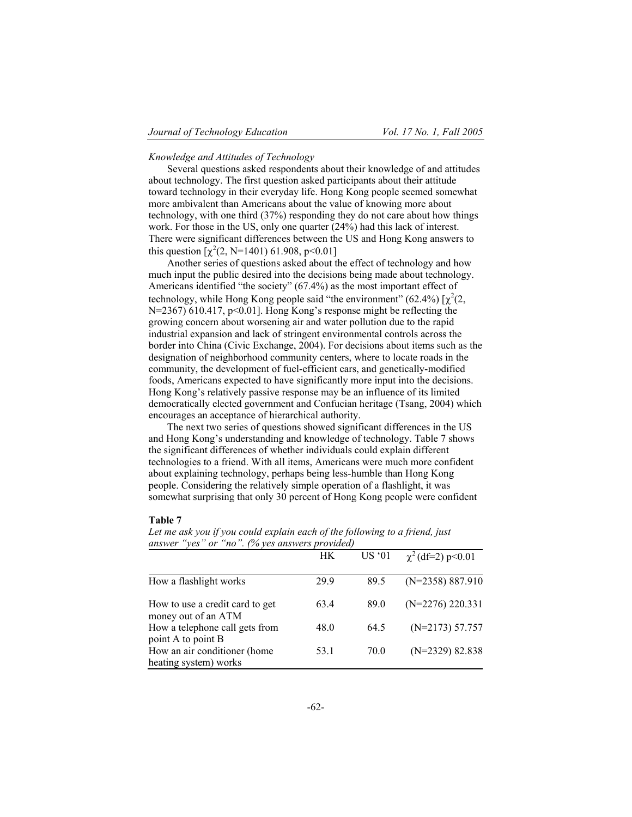## *Knowledge and Attitudes of Technology*

Several questions asked respondents about their knowledge of and attitudes about technology. The first question asked participants about their attitude toward technology in their everyday life. Hong Kong people seemed somewhat more ambivalent than Americans about the value of knowing more about technology, with one third (37%) responding they do not care about how things work. For those in the US, only one quarter (24%) had this lack of interest. There were significant differences between the US and Hong Kong answers to this question  $[\chi^2(2, N=1401) 61.908, p<0.01]$ 

Another series of questions asked about the effect of technology and how much input the public desired into the decisions being made about technology. Americans identified "the society" (67.4%) as the most important effect of technology, while Hong Kong people said "the environment" (62.4%)  $[\chi^2(2, \chi^2(4))]$ N=2367) 610.417, p<0.01]. Hong Kong's response might be reflecting the growing concern about worsening air and water pollution due to the rapid industrial expansion and lack of stringent environmental controls across the border into China (Civic Exchange, 2004). For decisions about items such as the designation of neighborhood community centers, where to locate roads in the community, the development of fuel-efficient cars, and genetically-modified foods, Americans expected to have significantly more input into the decisions. Hong Kong's relatively passive response may be an influence of its limited democratically elected government and Confucian heritage (Tsang, 2004) which encourages an acceptance of hierarchical authority.

The next two series of questions showed significant differences in the US and Hong Kong's understanding and knowledge of technology. Table 7 shows the significant differences of whether individuals could explain different technologies to a friend. With all items, Americans were much more confident about explaining technology, perhaps being less-humble than Hong Kong people. Considering the relatively simple operation of a flashlight, it was somewhat surprising that only 30 percent of Hong Kong people were confident

## **Table 7**

|                                                        | HК   | US 01 | $\chi^2$ (df=2) p<0.01 |
|--------------------------------------------------------|------|-------|------------------------|
| How a flashlight works                                 | 29.9 | 89.5  | $(N=2358) 887.910$     |
| How to use a credit card to get<br>money out of an ATM | 634  | 89.0  | $(N=2276)$ 220.331     |
| How a telephone call gets from<br>point A to point B   | 48.0 | 64.5  | $(N=2173) 57.757$      |
| How an air conditioner (home<br>heating system) works  | 53.1 | 70.0  | $(N=2329)$ 82.838      |

*Let me ask you if you could explain each of the following to a friend, just answer "yes" or "no". (% yes answers provided)*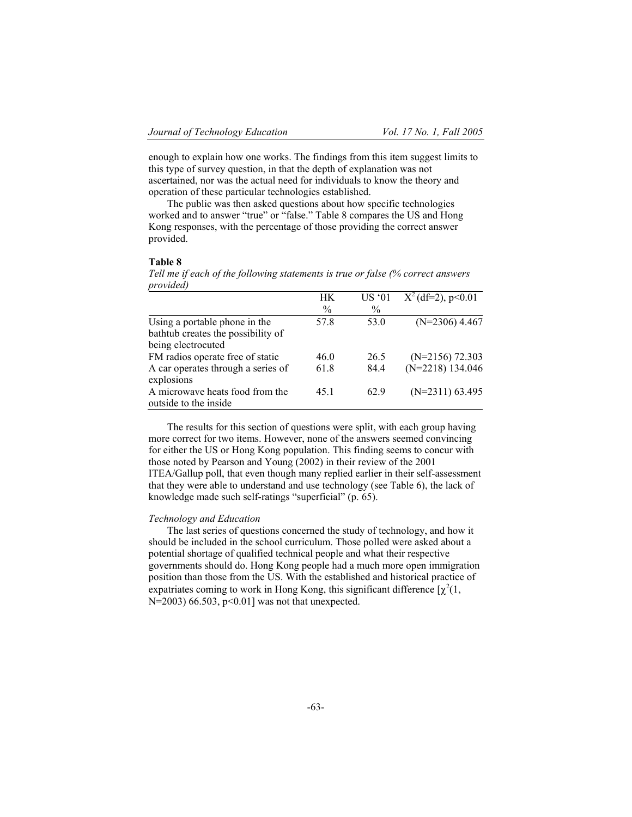enough to explain how one works. The findings from this item suggest limits to this type of survey question, in that the depth of explanation was not ascertained, nor was the actual need for individuals to know the theory and operation of these particular technologies established.

The public was then asked questions about how specific technologies worked and to answer "true" or "false." Table 8 compares the US and Hong Kong responses, with the percentage of those providing the correct answer provided.

### **Table 8**

*Tell me if each of the following statements is true or false (% correct answers provided)*

|                                    | HК            | <b>US '01</b> | $X^2$ (df=2), p<0.01 |
|------------------------------------|---------------|---------------|----------------------|
|                                    | $\frac{0}{0}$ | $\frac{0}{0}$ |                      |
| Using a portable phone in the      | 57.8          | 53.0          | $(N=2306)$ 4.467     |
| bathtub creates the possibility of |               |               |                      |
| being electrocuted                 |               |               |                      |
| FM radios operate free of static   | 46.0          | 26.5          | $(N=2156)$ 72.303    |
| A car operates through a series of | 61.8          | 84.4          | $(N=2218)$ 134.046   |
| explosions                         |               |               |                      |
| A microwave heats food from the    | 45 1          | 629           | $(N=2311)$ 63.495    |
| outside to the inside              |               |               |                      |

The results for this section of questions were split, with each group having more correct for two items. However, none of the answers seemed convincing for either the US or Hong Kong population. This finding seems to concur with those noted by Pearson and Young (2002) in their review of the 2001 ITEA/Gallup poll, that even though many replied earlier in their self-assessment that they were able to understand and use technology (see Table 6), the lack of knowledge made such self-ratings "superficial" (p. 65).

## *Technology and Education*

The last series of questions concerned the study of technology, and how it should be included in the school curriculum. Those polled were asked about a potential shortage of qualified technical people and what their respective governments should do. Hong Kong people had a much more open immigration position than those from the US. With the established and historical practice of expatriates coming to work in Hong Kong, this significant difference  $[\chi^2(1, \chi)]$ N=2003) 66.503, p<0.01] was not that unexpected.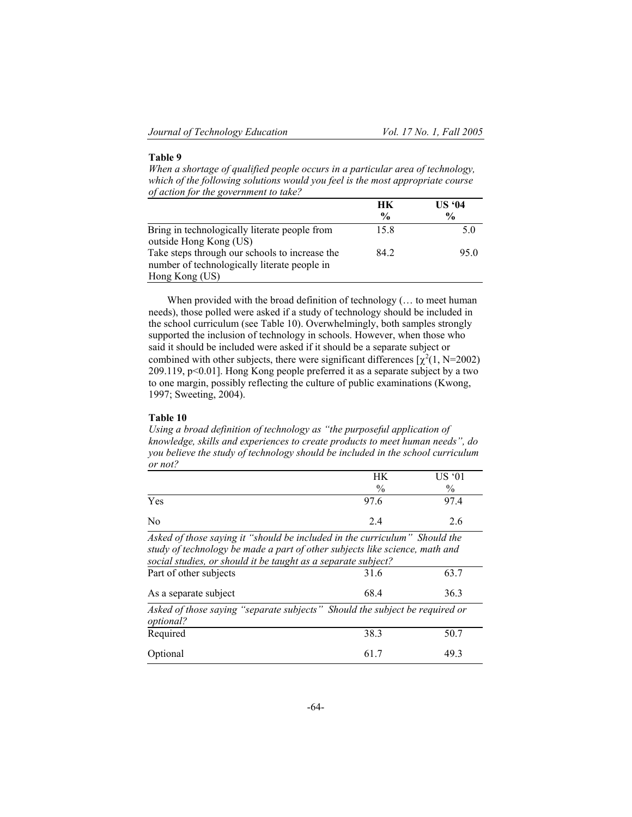## **Table 9**

*When a shortage of qualified people occurs in a particular area of technology, which of the following solutions would you feel is the most appropriate course of action for the government to take?*

|                                                | HК            | US 94         |
|------------------------------------------------|---------------|---------------|
|                                                | $\frac{0}{0}$ | $\frac{0}{0}$ |
| Bring in technologically literate people from  | 15.8          | 5.0           |
| outside Hong Kong (US)                         |               |               |
| Take steps through our schools to increase the | 84 2          | 95.0          |
| number of technologically literate people in   |               |               |
| Hong Kong (US)                                 |               |               |

When provided with the broad definition of technology (... to meet human needs), those polled were asked if a study of technology should be included in the school curriculum (see Table 10). Overwhelmingly, both samples strongly supported the inclusion of technology in schools. However, when those who said it should be included were asked if it should be a separate subject or combined with other subjects, there were significant differences  $[\chi^2(1, N=2002)]$ 209.119, p<0.01]. Hong Kong people preferred it as a separate subject by a two to one margin, possibly reflecting the culture of public examinations (Kwong, 1997; Sweeting, 2004).

#### **Table 10**

*Using a broad definition of technology as "the purposeful application of knowledge, skills and experiences to create products to meet human needs", do you believe the study of technology should be included in the school curriculum or not?*

|                                                                            | HК            | US'01         |
|----------------------------------------------------------------------------|---------------|---------------|
|                                                                            | $\frac{0}{0}$ | $\frac{0}{0}$ |
| Yes                                                                        | 97.6          | 974           |
| No                                                                         | 2.4           | 26            |
| Asked of those saying it "should be included in the curriculum" Should the |               |               |

*study of technology be made a part of other subjects like science, math and social studies, or should it be taught as a separate subject?* 

| Part of other subjects                                                                          | 31.6 | 63.7 |
|-------------------------------------------------------------------------------------------------|------|------|
| As a separate subject                                                                           | 68.4 | 36.3 |
| Asked of those saying "separate subjects" Should the subject be required or<br><i>optional?</i> |      |      |
| Required                                                                                        | 38.3 | 50.7 |
| Optional                                                                                        | 617  | 493  |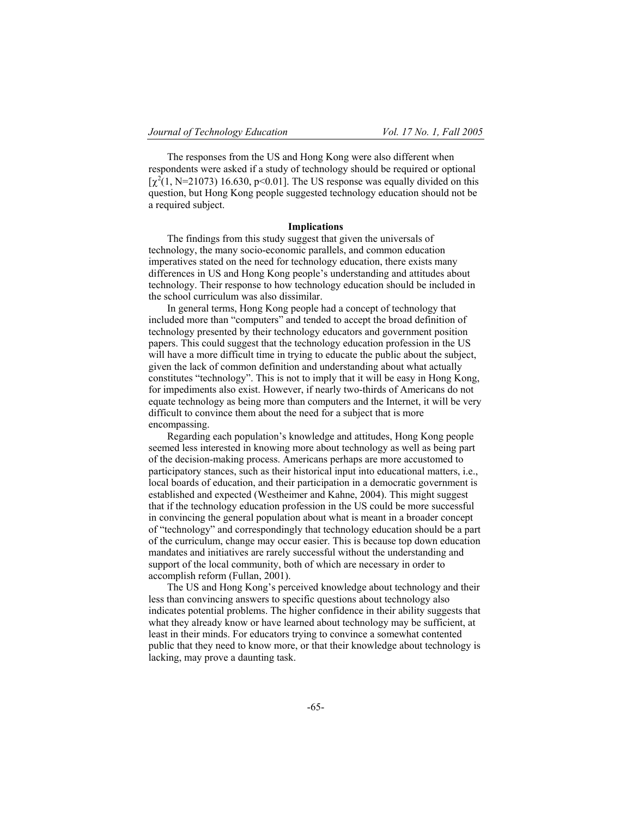The responses from the US and Hong Kong were also different when respondents were asked if a study of technology should be required or optional [ $\chi^2(1, N=21073)$  16.630, p<0.01]. The US response was equally divided on this question, but Hong Kong people suggested technology education should not be a required subject.

### **Implications**

The findings from this study suggest that given the universals of technology, the many socio-economic parallels, and common education imperatives stated on the need for technology education, there exists many differences in US and Hong Kong people's understanding and attitudes about technology. Their response to how technology education should be included in the school curriculum was also dissimilar.

In general terms, Hong Kong people had a concept of technology that included more than "computers" and tended to accept the broad definition of technology presented by their technology educators and government position papers. This could suggest that the technology education profession in the US will have a more difficult time in trying to educate the public about the subject, given the lack of common definition and understanding about what actually constitutes "technology". This is not to imply that it will be easy in Hong Kong, for impediments also exist. However, if nearly two-thirds of Americans do not equate technology as being more than computers and the Internet, it will be very difficult to convince them about the need for a subject that is more encompassing.

Regarding each population's knowledge and attitudes, Hong Kong people seemed less interested in knowing more about technology as well as being part of the decision-making process. Americans perhaps are more accustomed to participatory stances, such as their historical input into educational matters, i.e., local boards of education, and their participation in a democratic government is established and expected (Westheimer and Kahne, 2004). This might suggest that if the technology education profession in the US could be more successful in convincing the general population about what is meant in a broader concept of "technology" and correspondingly that technology education should be a part of the curriculum, change may occur easier. This is because top down education mandates and initiatives are rarely successful without the understanding and support of the local community, both of which are necessary in order to accomplish reform (Fullan, 2001).

The US and Hong Kong's perceived knowledge about technology and their less than convincing answers to specific questions about technology also indicates potential problems. The higher confidence in their ability suggests that what they already know or have learned about technology may be sufficient, at least in their minds. For educators trying to convince a somewhat contented public that they need to know more, or that their knowledge about technology is lacking, may prove a daunting task.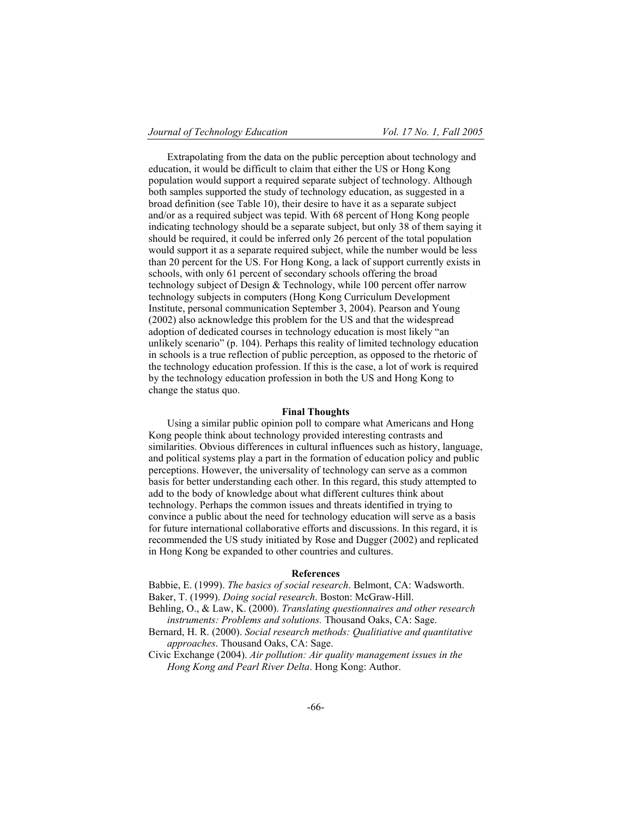Extrapolating from the data on the public perception about technology and education, it would be difficult to claim that either the US or Hong Kong population would support a required separate subject of technology. Although both samples supported the study of technology education, as suggested in a broad definition (see Table 10), their desire to have it as a separate subject and/or as a required subject was tepid. With 68 percent of Hong Kong people indicating technology should be a separate subject, but only 38 of them saying it should be required, it could be inferred only 26 percent of the total population would support it as a separate required subject, while the number would be less than 20 percent for the US. For Hong Kong, a lack of support currently exists in schools, with only 61 percent of secondary schools offering the broad technology subject of Design & Technology, while 100 percent offer narrow technology subjects in computers (Hong Kong Curriculum Development Institute, personal communication September 3, 2004). Pearson and Young (2002) also acknowledge this problem for the US and that the widespread adoption of dedicated courses in technology education is most likely "an unlikely scenario" (p. 104). Perhaps this reality of limited technology education in schools is a true reflection of public perception, as opposed to the rhetoric of the technology education profession. If this is the case, a lot of work is required by the technology education profession in both the US and Hong Kong to change the status quo.

#### **Final Thoughts**

Using a similar public opinion poll to compare what Americans and Hong Kong people think about technology provided interesting contrasts and similarities. Obvious differences in cultural influences such as history, language, and political systems play a part in the formation of education policy and public perceptions. However, the universality of technology can serve as a common basis for better understanding each other. In this regard, this study attempted to add to the body of knowledge about what different cultures think about technology. Perhaps the common issues and threats identified in trying to convince a public about the need for technology education will serve as a basis for future international collaborative efforts and discussions. In this regard, it is recommended the US study initiated by Rose and Dugger (2002) and replicated in Hong Kong be expanded to other countries and cultures.

#### **References**

Babbie, E. (1999). *The basics of social research*. Belmont, CA: Wadsworth. Baker, T. (1999). *Doing social research*. Boston: McGraw-Hill.

- Behling, O., & Law, K. (2000). *Translating questionnaires and other research instruments: Problems and solutions.* Thousand Oaks, CA: Sage.
- Bernard, H. R. (2000). *Social research methods: Qualitiative and quantitative approaches*. Thousand Oaks, CA: Sage.

Civic Exchange (2004). *Air pollution: Air quality management issues in the Hong Kong and Pearl River Delta*. Hong Kong: Author.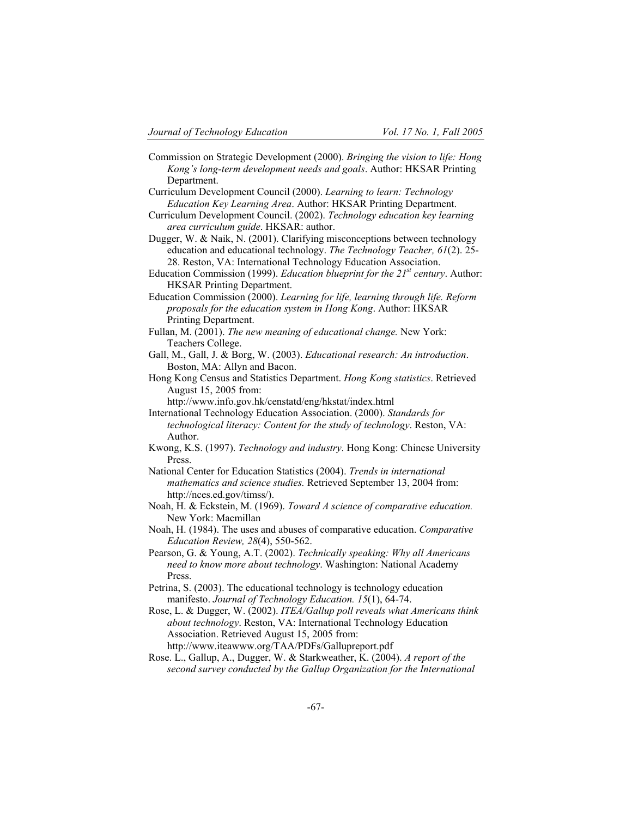- Commission on Strategic Development (2000). *Bringing the vision to life: Hong Kong's long-term development needs and goals*. Author: HKSAR Printing Department.
- Curriculum Development Council (2000). *Learning to learn: Technology Education Key Learning Area*. Author: HKSAR Printing Department.
- Curriculum Development Council. (2002). *Technology education key learning area curriculum guide*. HKSAR: author.
- Dugger, W. & Naik, N. (2001). Clarifying misconceptions between technology education and educational technology. *The Technology Teacher, 61*(2). 25- 28. Reston, VA: International Technology Education Association.
- Education Commission (1999). *Education blueprint for the 21st century*. Author: HKSAR Printing Department.
- Education Commission (2000). *Learning for life, learning through life. Reform proposals for the education system in Hong Kong*. Author: HKSAR Printing Department.
- Fullan, M. (2001). *The new meaning of educational change.* New York: Teachers College.
- Gall, M., Gall, J. & Borg, W. (2003). *Educational research: An introduction*. Boston, MA: Allyn and Bacon.
- Hong Kong Census and Statistics Department. *Hong Kong statistics*. Retrieved August 15, 2005 from:

http://www.info.gov.hk/censtatd/eng/hkstat/index.html

- International Technology Education Association. (2000). *Standards for technological literacy: Content for the study of technology*. Reston, VA: Author.
- Kwong, K.S. (1997). *Technology and industry*. Hong Kong: Chinese University Press.
- National Center for Education Statistics (2004). *Trends in international mathematics and science studies.* Retrieved September 13, 2004 from: http://nces.ed.gov/timss/).
- Noah, H. & Eckstein, M. (1969). *Toward A science of comparative education.*  New York: Macmillan
- Noah, H. (1984). The uses and abuses of comparative education. *Comparative Education Review, 28*(4), 550-562.
- Pearson, G. & Young, A.T. (2002). *Technically speaking: Why all Americans need to know more about technology*. Washington: National Academy Press.
- Petrina, S. (2003). The educational technology is technology education manifesto. *Journal of Technology Education. 15*(1), 64-74.
- Rose, L. & Dugger, W. (2002). *ITEA/Gallup poll reveals what Americans think about technology*. Reston, VA: International Technology Education Association. Retrieved August 15, 2005 from: http://www.iteawww.org/TAA/PDFs/Gallupreport.pdf
- Rose. L., Gallup, A., Dugger, W. & Starkweather, K. (2004). *A report of the second survey conducted by the Gallup Organization for the International*